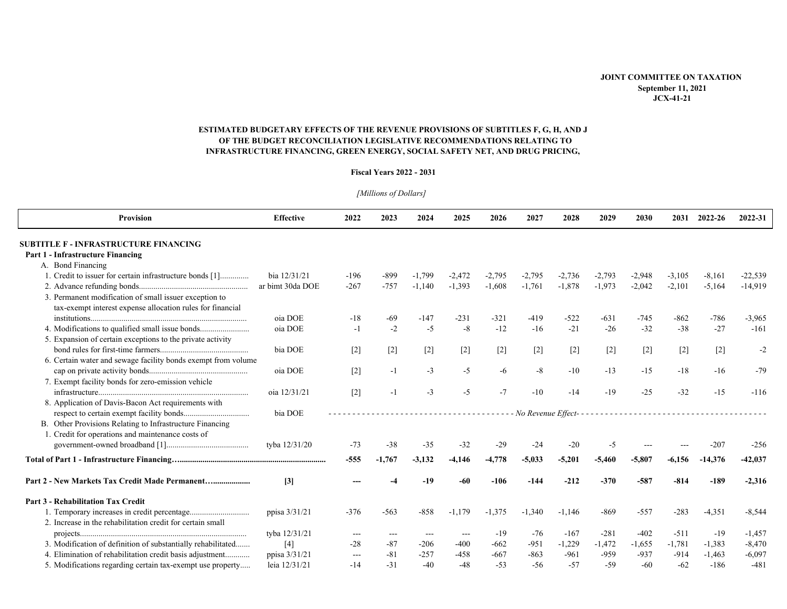## **JOINT COMMITTEE ON TAXATION September 11, 2021**  $JCX-41-21$

# ESTIMATED BUDGETARY EFFECTS OF THE REVENUE PROVISIONS OF SUBTITLES F, G, H, AND J OF THE BUDGET RECONCILIATION LEGISLATIVE RECOMMENDATIONS RELATING TO INFRASTRUCTURE FINANCING, GREEN ENERGY, SOCIAL SAFETY NET, AND DRUG PRICING,

### **Fiscal Years 2022 - 2031**

| Provision                                                     | <b>Effective</b> | 2022   | 2023     | 2024     | 2025     | 2026     | 2027                 | 2028     | 2029     | 2030     | 2031     | 2022-26   | 2022-31   |
|---------------------------------------------------------------|------------------|--------|----------|----------|----------|----------|----------------------|----------|----------|----------|----------|-----------|-----------|
| <b>SUBTITLE F - INFRASTRUCTURE FINANCING</b>                  |                  |        |          |          |          |          |                      |          |          |          |          |           |           |
| Part 1 - Infrastructure Financing                             |                  |        |          |          |          |          |                      |          |          |          |          |           |           |
| A. Bond Financing                                             |                  |        |          |          |          |          |                      |          |          |          |          |           |           |
| 1. Credit to issuer for certain infrastructure bonds [1]      | bia 12/31/21     | $-196$ | $-899$   | $-1,799$ | $-2,472$ | $-2,795$ | -2,795               | $-2,736$ | $-2,793$ | $-2,948$ | $-3,105$ | $-8,161$  | $-22,539$ |
|                                                               | ar bimt 30da DOE | $-267$ | $-757$   | $-1,140$ | $-1,393$ | $-1,608$ | $-1,761$             | $-1,878$ | $-1,973$ | $-2,042$ | $-2,101$ | $-5,164$  | $-14,919$ |
| 3. Permanent modification of small issuer exception to        |                  |        |          |          |          |          |                      |          |          |          |          |           |           |
| tax-exempt interest expense allocation rules for financial    |                  |        |          |          |          |          |                      |          |          |          |          |           |           |
|                                                               | oia DOE          | $-18$  | $-69$    | $-147$   | $-231$   | $-321$   | $-419$               | $-522$   | $-631$   | $-745$   | $-862$   | $-786$    | $-3,965$  |
| 4. Modifications to qualified small issue bonds               | oia DOE          | $-1$   | $-2$     | $-5$     | $-8$     | $-12$    | $-16$                | $-21$    | $-26$    | $-32$    | $-38$    | $-27$     | $-161$    |
| 5. Expansion of certain exceptions to the private activity    |                  |        |          |          |          |          |                      |          |          |          |          |           |           |
|                                                               | bia DOE          | $[2]$  | $[2]$    | $[2]$    | $[2]$    | $[2]$    | $[2]$                | $[2]$    | $[2]$    | $[2]$    | $[2]$    | $[2]$     | $-2$      |
| 6. Certain water and sewage facility bonds exempt from volume |                  |        |          |          |          |          |                      |          |          |          |          |           |           |
|                                                               | oia DOE          | $[2]$  | $-1$     | $-3$     | $-5$     | $-6$     | $-8$                 | $-10$    | $-13$    | $-15$    | $-18$    | $-16$     | $-79$     |
| 7. Exempt facility bonds for zero-emission vehicle            |                  |        |          |          |          |          |                      |          |          |          |          |           |           |
|                                                               | oia 12/31/21     | $[2]$  | $-1$     | $-3$     | $-5$     | $-7$     | $-10$                | $-14$    | $-19$    | $-25$    | $-32$    | $-15$     | $-116$    |
| 8. Application of Davis-Bacon Act requirements with           |                  |        |          |          |          |          |                      |          |          |          |          |           |           |
|                                                               | bia DOE          |        |          |          |          |          | - No Revenue Effect- |          |          |          |          |           |           |
| B. Other Provisions Relating to Infrastructure Financing      |                  |        |          |          |          |          |                      |          |          |          |          |           |           |
| 1. Credit for operations and maintenance costs of             |                  |        |          |          |          |          |                      |          |          |          |          |           |           |
|                                                               | tyba 12/31/20    | $-73$  | $-38$    | $-35$    | $-32$    | $-29$    | $-24$                | $-20$    | -5       |          |          | $-207$    | $-256$    |
|                                                               |                  | $-555$ | $-1,767$ | $-3,132$ | $-4,146$ | $-4,778$ | $-5,033$             | $-5,201$ | $-5,460$ | $-5,807$ | $-6,156$ | $-14,376$ | $-42,037$ |
|                                                               | $[3]$            |        |          | $-19$    | $-60$    | $-106$   | $-144$               | $-212$   | $-370$   | $-587$   | $-814$   | $-189$    | $-2,316$  |
| <b>Part 3 - Rehabilitation Tax Credit</b>                     |                  |        |          |          |          |          |                      |          |          |          |          |           |           |
|                                                               | ppisa 3/31/21    | $-376$ | $-563$   | $-858$   | $-1,179$ | $-1,375$ | $-1,340$             | $-1,146$ | $-869$   | $-557$   | $-283$   | $-4,351$  | $-8,544$  |
| 2. Increase in the rehabilitation credit for certain small    |                  |        |          |          |          |          |                      |          |          |          |          |           |           |
|                                                               | tyba 12/31/21    | $--$   | ---      | $- - -$  | $---$    | $-19$    | -76                  | $-167$   | $-281$   | $-402$   | $-511$   | $-19$     | $-1,457$  |
| 3. Modification of definition of substantially rehabilitated  | $[4]$            | $-28$  | $-87$    | $-206$   | $-400$   | $-662$   | $-951$               | $-1,229$ | $-1,472$ | $-1,655$ | $-1,781$ | $-1,383$  | $-8,470$  |
| 4. Elimination of rehabilitation credit basis adjustment      | ppisa 3/31/21    | ---    | $-81$    | $-257$   | $-458$   | $-667$   | $-863$               | $-961$   | $-959$   | $-937$   | $-914$   | $-1,463$  | $-6,097$  |
| 5. Modifications regarding certain tax-exempt use property    | leia 12/31/21    | $-14$  | $-31$    | $-40$    | $-48$    | $-53$    | $-56$                | $-57$    | $-59$    | $-60$    | $-62$    | $-186$    | $-481$    |

[Millions of Dollars]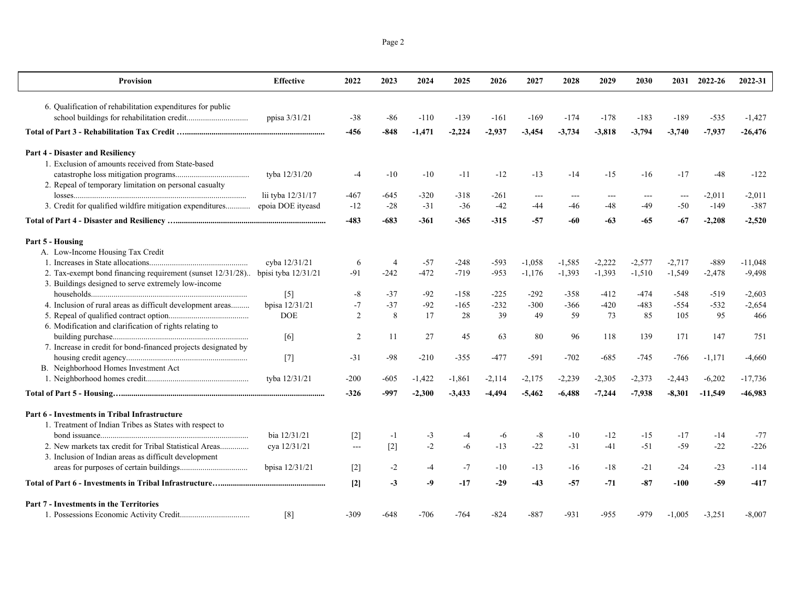| <b>Provision</b>                                               | <b>Effective</b>      | 2022              | 2023           | 2024     | 2025     | 2026     | 2027     | 2028     | 2029     | 2030     |          | 2031 2022-26 | 2022-31   |
|----------------------------------------------------------------|-----------------------|-------------------|----------------|----------|----------|----------|----------|----------|----------|----------|----------|--------------|-----------|
| 6. Qualification of rehabilitation expenditures for public     |                       |                   |                |          |          |          |          |          |          |          |          |              |           |
|                                                                | ppisa 3/31/21         | -38               | -86            | $-110$   | $-139$   | $-161$   | $-169$   | $-174$   | $-178$   | $-183$   | $-189$   | $-535$       | $-1,427$  |
|                                                                |                       | -456              | $-848$         | $-1,471$ | $-2,224$ | $-2,937$ | $-3,454$ | $-3,734$ | $-3,818$ | $-3,794$ | $-3,740$ | $-7,937$     | $-26,476$ |
| Part 4 - Disaster and Resiliency                               |                       |                   |                |          |          |          |          |          |          |          |          |              |           |
| 1. Exclusion of amounts received from State-based              |                       |                   |                |          |          |          |          |          |          |          |          |              |           |
|                                                                | tyba 12/31/20         | $-4$              | $-10$          | $-10$    | $-11$    | $-12$    | $-13$    | $-14$    | $-15$    | $-16$    | $-17$    | $-48$        | $-122$    |
| 2. Repeal of temporary limitation on personal casualty         |                       |                   |                |          |          |          |          |          |          |          |          |              |           |
|                                                                | lii tyba 12/31/17     | -467              | -645           | $-320$   | $-318$   | -261     | $---$    | $---$    |          | $  -$    | $---$    | $-2,011$     | $-2,011$  |
| 3. Credit for qualified wildfire mitigation expenditures       | epoia DOE ityeasd     | $-12$             | $-28$          | $-31$    | $-36$    | $-42$    | $-44$    | -46      | $-48$    | $-49$    | $-50$    | $-149$       | $-387$    |
|                                                                |                       | $-483$            | $-683$         | $-361$   | $-365$   | $-315$   | -57      | -60      | -63      | -65      | $-67$    | $-2,208$     | $-2,520$  |
| Part 5 - Housing                                               |                       |                   |                |          |          |          |          |          |          |          |          |              |           |
| A. Low-Income Housing Tax Credit                               |                       |                   |                |          |          |          |          |          |          |          |          |              |           |
|                                                                | cyba 12/31/21         | 6                 | $\overline{4}$ | $-57$    | $-248$   | $-593$   | $-1,058$ | $-1,585$ | $-2,222$ | $-2,577$ | $-2,717$ | $-889$       | $-11,048$ |
| 2. Tax-exempt bond financing requirement (sunset 12/31/28)     | bpisi tyba $12/31/21$ | $-91$             | $-242$         | $-472$   | $-719$   | $-953$   | $-1,176$ | $-1,393$ | $-1,393$ | $-1,510$ | $-1,549$ | $-2,478$     | $-9,498$  |
| 3. Buildings designed to serve extremely low-income            |                       |                   |                |          |          |          |          |          |          |          |          |              |           |
|                                                                | $[5]$                 | $-8$              | $-37$          | $-92$    | $-158$   | $-225$   | $-292$   | $-358$   | $-412$   | $-474$   | $-548$   | $-519$       | $-2,603$  |
| 4. Inclusion of rural areas as difficult development areas     | bpisa 12/31/21        | $-7$              | $-37$          | $-92$    | $-165$   | $-232$   | $-300$   | $-366$   | $-420$   | $-483$   | $-554$   | $-532$       | $-2,654$  |
|                                                                | <b>DOE</b>            | 2                 | 8              | 17       | 28       | 39       | 49       | 59       | 73       | 85       | 105      | 95           | 466       |
| 6. Modification and clarification of rights relating to        |                       |                   |                |          |          |          |          |          |          |          |          |              |           |
|                                                                | [6]                   | 2                 | 11             | 27       | 45       | 63       | 80       | 96       | 118      | 139      | 171      | 147          | 751       |
| 7. Increase in credit for bond-financed projects designated by |                       |                   |                |          |          |          |          |          |          |          |          |              |           |
|                                                                | $[7]$                 | $-31$             | -98            | $-210$   | $-355$   | -477     | $-591$   | $-702$   | $-685$   | $-745$   | -766     | $-1,171$     | $-4,660$  |
| B. Neighborhood Homes Investment Act                           |                       |                   |                |          |          |          |          |          |          |          |          |              |           |
|                                                                | tyba 12/31/21         | $-200$            | $-605$         | $-1,422$ | $-1,861$ | $-2,114$ | $-2,175$ | $-2,239$ | $-2,305$ | $-2,373$ | $-2,443$ | $-6,202$     | $-17,736$ |
|                                                                |                       | $-326$            | -997           | $-2,300$ | $-3,433$ | $-4,494$ | $-5,462$ | $-6,488$ | $-7,244$ | $-7,938$ | $-8,301$ | $-11,549$    | $-46,983$ |
| Part 6 - Investments in Tribal Infrastructure                  |                       |                   |                |          |          |          |          |          |          |          |          |              |           |
| 1. Treatment of Indian Tribes as States with respect to        |                       |                   |                |          |          |          |          |          |          |          |          |              |           |
|                                                                | bia 12/31/21          | $[2]$             | $-1$           | $-3$     | $-4$     | -6       | $-8$     | $-10$    | $-12$    | $-15$    | $-17$    | $-14$        | $-77$     |
|                                                                | cya 12/31/21          | $\cdots$          | $[2]$          | $-2$     | $-6$     | $-13$    | $-22$    | $-31$    | $-41$    | $-51$    | $-59$    | $-22$        | $-226$    |
| 3. Inclusion of Indian areas as difficult development          |                       |                   |                |          |          |          |          |          |          |          |          |              |           |
|                                                                | bpisa 12/31/21        | $[2]$             | $-2$           | $-4$     | $-7$     | $-10$    | $-13$    | $-16$    | $-18$    | $-21$    | $-24$    | $-23$        | $-114$    |
|                                                                |                       | $\lceil 2 \rceil$ | $-3$           | -9       | $-17$    | $-29$    | $-43$    | $-57$    | $-71$    | $-87$    | $-100$   | -59          | $-417$    |
| Part 7 - Investments in the Territories                        |                       |                   |                |          |          |          |          |          |          |          |          |              |           |
|                                                                | [8]                   | $-309$            | $-648$         | $-706$   | $-764$   | $-824$   | $-887$   | $-931$   | $-955$   | -979     | $-1.005$ | $-3,251$     | $-8,007$  |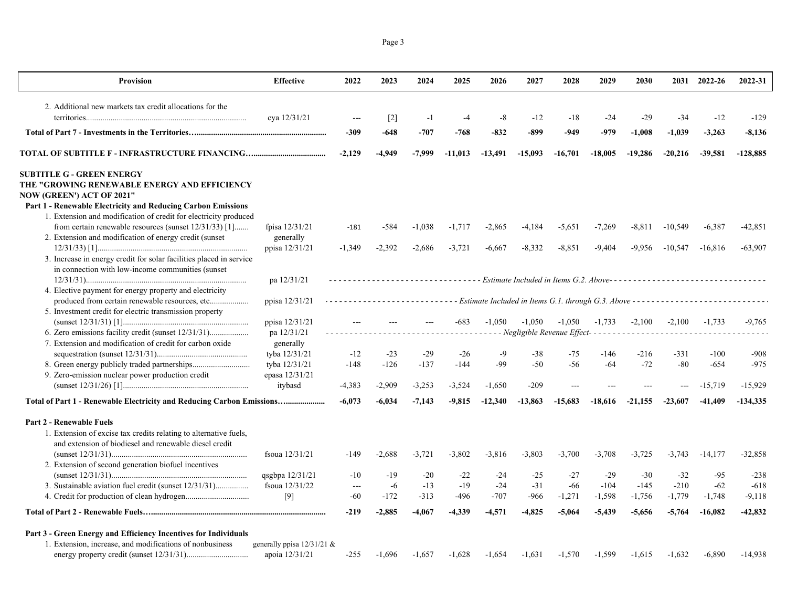| <b>Provision</b>                                                                 | <b>Effective</b>                | 2022                     | 2023              | 2024     | 2025                                      | 2026      | 2027      | 2028      | 2029      | 2030                                       |           | 2031 2022-26                                                                                  | 2022-31    |
|----------------------------------------------------------------------------------|---------------------------------|--------------------------|-------------------|----------|-------------------------------------------|-----------|-----------|-----------|-----------|--------------------------------------------|-----------|-----------------------------------------------------------------------------------------------|------------|
| 2. Additional new markets tax credit allocations for the                         |                                 |                          |                   |          |                                           |           |           |           |           |                                            |           |                                                                                               |            |
|                                                                                  | cya 12/31/21                    |                          | $\lceil 2 \rceil$ | $-1$     | $-4$                                      | -8        | $-12$     | $-18$     | $-24$     | $-29$                                      | -34       | $-12$                                                                                         | $-129$     |
|                                                                                  |                                 | -309                     | $-648$            | $-707$   | $-768$                                    | $-832$    | $-899$    | $-949$    | $-979$    | $-1,008$                                   | $-1,039$  | $-3,263$                                                                                      | $-8,136$   |
|                                                                                  |                                 |                          |                   |          |                                           |           |           |           |           |                                            |           |                                                                                               |            |
|                                                                                  |                                 | $-2,129$                 | -4,949            | -7,999   | $-11,013$                                 | $-13,491$ | $-15,093$ | $-16,701$ | $-18,005$ | $-19,286$                                  | $-20,216$ | $-39,581$                                                                                     | $-128,885$ |
| <b>SUBTITLE G - GREEN ENERGY</b>                                                 |                                 |                          |                   |          |                                           |           |           |           |           |                                            |           |                                                                                               |            |
| THE "GROWING RENEWABLE ENERGY AND EFFICIENCY<br><b>NOW (GREEN') ACT OF 2021"</b> |                                 |                          |                   |          |                                           |           |           |           |           |                                            |           |                                                                                               |            |
| <b>Part 1 - Renewable Electricity and Reducing Carbon Emissions</b>              |                                 |                          |                   |          |                                           |           |           |           |           |                                            |           |                                                                                               |            |
| 1. Extension and modification of credit for electricity produced                 |                                 |                          |                   |          |                                           |           |           |           |           |                                            |           |                                                                                               |            |
| from certain renewable resources (sunset 12/31/33) [1]                           | fpisa 12/31/21                  | $-181$                   | -584              | $-1,038$ | $-1,717$                                  | $-2,865$  | -4,184    | $-5,651$  | $-7,269$  | $-8,811$                                   | $-10,549$ | $-6,387$                                                                                      | $-42,851$  |
| 2. Extension and modification of energy credit (sunset)                          | generally                       |                          |                   |          |                                           |           |           |           |           |                                            |           |                                                                                               |            |
|                                                                                  | ppisa 12/31/21                  | $-1,349$                 | $-2.392$          | $-2,686$ | $-3,721$                                  | $-6,667$  | $-8.332$  | $-8.851$  | $-9.404$  | $-9.956$                                   | $-10.547$ | $-16,816$                                                                                     | $-63,907$  |
| 3. Increase in energy credit for solar facilities placed in service              |                                 |                          |                   |          |                                           |           |           |           |           |                                            |           |                                                                                               |            |
| in connection with low-income communities (sunset                                |                                 |                          |                   |          |                                           |           |           |           |           |                                            |           |                                                                                               |            |
|                                                                                  | pa 12/31/21                     |                          |                   |          |                                           |           |           |           |           |                                            |           | --------------------- Estimate Included in Items G.2. Above---------------------------------- |            |
| 4. Elective payment for energy property and electricity                          |                                 |                          |                   |          |                                           |           |           |           |           |                                            |           |                                                                                               |            |
| produced from certain renewable resources, etc                                   | ppisa 12/31/21                  |                          |                   |          |                                           |           |           |           |           |                                            |           | - Estimate Included in Items G.1. through G.3. Above ------------------------                 |            |
| 5. Investment credit for electric transmission property                          |                                 |                          |                   |          |                                           |           |           |           |           |                                            |           |                                                                                               |            |
|                                                                                  | ppisa 12/31/21                  |                          |                   |          | -683                                      | $-1.050$  | $-1.050$  | $-1.050$  | $-1.733$  | $-2,100$                                   | $-2,100$  | $-1.733$                                                                                      | $-9.765$   |
|                                                                                  | pa 12/31/21                     |                          |                   |          | <u> - - - - - - - - - - - - - - - -</u> . |           |           |           |           | - Negligible Revenue Effect--------------- |           |                                                                                               |            |
| 7. Extension and modification of credit for carbon oxide                         | generally                       |                          |                   |          |                                           |           |           |           |           |                                            |           |                                                                                               |            |
|                                                                                  | tyba 12/31/21                   | $-12$                    | $-23$             | $-29$    | $-26$                                     | $-9$      | $-38$     | $-75$     | $-146$    | $-216$                                     | $-331$    | $-100$                                                                                        | $-908$     |
| 9. Zero-emission nuclear power production credit                                 | tyba 12/31/21<br>epasa 12/31/21 | $-148$                   | $-126$            | $-137$   | $-144$                                    | $-99$     | $-50$     | $-56$     | $-64$     | $-72$                                      | $-80$     | $-654$                                                                                        | $-975$     |
|                                                                                  | itybasd                         | $-4,383$                 | -2,909            | $-3,253$ | $-3,524$                                  | $-1,650$  | $-209$    |           |           |                                            |           | $-15,719$                                                                                     | $-15,929$  |
|                                                                                  |                                 |                          |                   |          |                                           |           |           |           |           |                                            |           |                                                                                               |            |
| Total of Part 1 - Renewable Electricity and Reducing Carbon Emissions            |                                 | $-6,073$                 | $-6,034$          | $-7,143$ | $-9,815$                                  | $-12,340$ | $-13,863$ | $-15,683$ | $-18,616$ | $-21.155$                                  | $-23,607$ | $-41,409$                                                                                     | $-134,335$ |
| <b>Part 2 - Renewable Fuels</b>                                                  |                                 |                          |                   |          |                                           |           |           |           |           |                                            |           |                                                                                               |            |
| 1. Extension of excise tax credits relating to alternative fuels,                |                                 |                          |                   |          |                                           |           |           |           |           |                                            |           |                                                                                               |            |
| and extension of biodiesel and renewable diesel credit                           |                                 |                          |                   |          |                                           |           |           |           |           |                                            |           |                                                                                               |            |
|                                                                                  | fsoua 12/31/21                  | $-149$                   | $-2,688$          | $-3,721$ | $-3,802$                                  | $-3,816$  | $-3,803$  | $-3,700$  | $-3,708$  | $-3,725$                                   | $-3,743$  | $-14,177$                                                                                     | $-32,858$  |
| 2. Extension of second generation biofuel incentives                             |                                 |                          |                   |          |                                           |           |           |           |           |                                            |           |                                                                                               |            |
|                                                                                  | qsgbpa 12/31/21                 | $-10$                    | $-19$             | $-20$    | $-22$                                     | $-24$     | $-25$     | $-27$     | $-29$     | $-30$                                      | $-32$     | $-95$                                                                                         | $-238$     |
| 3. Sustainable aviation fuel credit (sunset 12/31/31)                            | fsoua 12/31/22                  | $\overline{\phantom{a}}$ | $-6$              | $-13$    | $-19$                                     | $-24$     | $-31$     | $-66$     | $-104$    | $-145$                                     | $-210$    | $-62$                                                                                         | $-618$     |
|                                                                                  | [9]                             | $-60$                    | $-172$            | $-313$   | $-496$                                    | $-707$    | $-966$    | $-1,271$  | $-1,598$  | $-1,756$                                   | $-1,779$  | $-1,748$                                                                                      | $-9,118$   |
|                                                                                  |                                 | $-219$                   | $-2,885$          | $-4,067$ | -4,339                                    | $-4,571$  | $-4,825$  | $-5,064$  | $-5,439$  | $-5,656$                                   | $-5,764$  | $-16,082$                                                                                     | $-42,832$  |
| Part 3 - Green Energy and Efficiency Incentives for Individuals                  |                                 |                          |                   |          |                                           |           |           |           |           |                                            |           |                                                                                               |            |
| 1. Extension, increase, and modifications of nonbusiness                         | generally ppisa $12/31/21$ &    |                          |                   |          |                                           |           |           |           |           |                                            |           |                                                                                               |            |
|                                                                                  | apoia 12/31/21                  | $-255$                   | $-1,696$          | $-1,657$ | $-1,628$                                  | $-1,654$  | $-1,631$  | $-1,570$  | $-1,599$  | $-1,615$                                   | $-1,632$  | $-6,890$                                                                                      | $-14,938$  |
|                                                                                  |                                 |                          |                   |          |                                           |           |           |           |           |                                            |           |                                                                                               |            |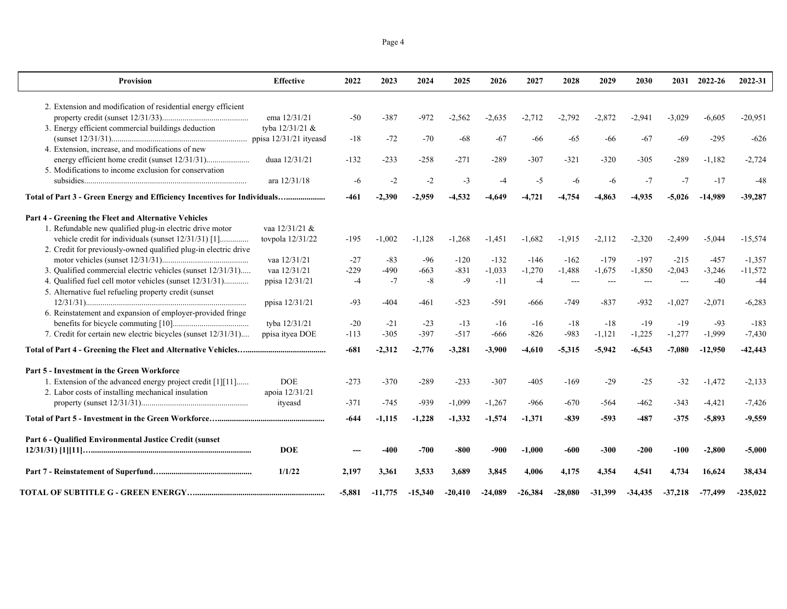|--|--|

| Provision                                                                | <b>Effective</b> | 2022     | 2023      | 2024      | 2025      | 2026      | 2027      | 2028           | 2029      | 2030      |           | 2031 2022-26 | 2022-31    |
|--------------------------------------------------------------------------|------------------|----------|-----------|-----------|-----------|-----------|-----------|----------------|-----------|-----------|-----------|--------------|------------|
| 2. Extension and modification of residential energy efficient            |                  |          |           |           |           |           |           |                |           |           |           |              |            |
|                                                                          | ema 12/31/21     | $-50$    | $-387$    | $-972$    | $-2.562$  | -2.635    | $-2,712$  | $-2.792$       | $-2,872$  | $-2.941$  | $-3.029$  | $-6,605$     | $-20.951$  |
| 3. Energy efficient commercial buildings deduction                       | tyba 12/31/21 &  |          |           |           |           |           |           |                |           |           |           |              |            |
|                                                                          |                  | $-18$    | $-72$     | $-70$     | $-68$     | $-67$     | -66       | $-65$          | $-66$     | $-67$     | $-69$     | $-295$       | $-626$     |
| 4. Extension, increase, and modifications of new                         |                  |          |           |           |           |           |           |                |           |           |           |              |            |
|                                                                          | duaa 12/31/21    | $-132$   | $-233$    | $-258$    | $-271$    | $-289$    | $-307$    | $-321$         | $-320$    | $-305$    | -289      | $-1,182$     | $-2,724$   |
| 5. Modifications to income exclusion for conservation                    |                  |          |           |           |           |           |           |                |           |           |           |              |            |
|                                                                          | ara 12/31/18     | -6       | $-2$      | $-2$      | $-3$      | $-4$      | $-5$      | $-6$           | -6        | $-7$      | $-7$      | $-17$        | $-48$      |
| Total of Part 3 - Green Energy and Efficiency Incentives for Individuals |                  | $-461$   | $-2,390$  | $-2,959$  | $-4,532$  | -4.649    | $-4,721$  | $-4,754$       | $-4,863$  | $-4,935$  | $-5,026$  | $-14,989$    | $-39,287$  |
| Part 4 - Greening the Fleet and Alternative Vehicles                     |                  |          |           |           |           |           |           |                |           |           |           |              |            |
| 1. Refundable new qualified plug-in electric drive motor                 | vaa 12/31/21 &   |          |           |           |           |           |           |                |           |           |           |              |            |
| vehicle credit for individuals (sunset 12/31/31) [1]                     | tovpola 12/31/22 | $-195$   | $-1,002$  | $-1,128$  | $-1,268$  | $-1,451$  | $-1,682$  | $-1,915$       | $-2,112$  | $-2,320$  | $-2,499$  | $-5,044$     | $-15,574$  |
| 2. Credit for previously-owned qualified plug-in electric drive          |                  |          |           |           |           |           |           |                |           |           |           |              |            |
|                                                                          | vaa 12/31/21     | $-27$    | $-83$     | $-96$     | $-120$    | $-132$    | $-146$    | $-162$         | $-179$    | $-197$    | $-215$    | $-457$       | $-1.357$   |
| 3. Qualified commercial electric vehicles (sunset 12/31/31)              | vaa 12/31/21     | $-229$   | $-490$    | $-663$    | $-831$    | $-1,033$  | $-1,270$  | $-1,488$       | $-1,675$  | $-1,850$  | $-2,043$  | $-3,246$     | $-11,572$  |
| 4. Qualified fuel cell motor vehicles (sunset 12/31/31)                  | ppisa 12/31/21   | $-4$     | $-7$      | $-8$      | $-9$      | $-11$     | $-4$      | $\overline{a}$ | $---$     | ---       |           | $-40$        | $-44$      |
| 5. Alternative fuel refueling property credit (sunset                    |                  |          |           |           |           |           |           |                |           |           |           |              |            |
|                                                                          | ppisa 12/31/21   | $-93$    | $-404$    | $-461$    | $-523$    | $-591$    | -666      | $-749$         | $-837$    | $-932$    | $-1.027$  | $-2,071$     | $-6,283$   |
| 6. Reinstatement and expansion of employer-provided fringe               |                  |          |           |           |           |           |           |                |           |           |           |              |            |
|                                                                          | tyba 12/31/21    | $-20$    | $-21$     | $-23$     | $-13$     | $-16$     | $-16$     | $-18$          | $-18$     | $-19$     | $-19$     | $-93$        | $-183$     |
| 7. Credit for certain new electric bicycles (sunset 12/31/31)            | ppisa ityea DOE  | $-113$   | $-305$    | $-397$    | $-517$    | -666      | $-826$    | $-983$         | $-1,121$  | $-1,225$  | $-1,277$  | $-1,999$     | $-7,430$   |
|                                                                          |                  | $-681$   | $-2,312$  | $-2,776$  | $-3,281$  | $-3,900$  | -4,610    | $-5,315$       | $-5,942$  | $-6,543$  | $-7,080$  | $-12,950$    | $-42,443$  |
| Part 5 - Investment in the Green Workforce                               |                  |          |           |           |           |           |           |                |           |           |           |              |            |
| 1. Extension of the advanced energy project credit [1][11]               | <b>DOE</b>       | $-273$   | $-370$    | $-289$    | $-233$    | $-307$    | $-405$    | $-169$         | $-29$     | $-25$     | $-32$     | $-1,472$     | $-2,133$   |
| 2. Labor costs of installing mechanical insulation                       | apoia 12/31/21   |          |           |           |           |           |           |                |           |           |           |              |            |
|                                                                          | ityeasd          | $-371$   | $-745$    | $-939$    | $-1,099$  | $-1,267$  | -966      | $-670$         | $-564$    | $-462$    | $-343$    | $-4,421$     | $-7.426$   |
|                                                                          |                  | $-644$   | $-1,115$  | $-1,228$  | $-1,332$  | $-1,574$  | $-1,371$  | $-839$         | -593      | $-487$    | -375      | $-5,893$     | $-9,559$   |
| Part 6 - Qualified Environmental Justice Credit (sunset                  |                  |          |           |           |           |           |           |                |           |           |           |              |            |
|                                                                          | <b>DOE</b>       |          | -400      | $-700$    | $-800$    | -900      | $-1,000$  | $-600$         | $-300$    | $-200$    | $-100$    | $-2,800$     | $-5,000$   |
|                                                                          | 1/1/22           | 2.197    | 3,361     | 3,533     | 3,689     | 3.845     | 4,006     | 4,175          | 4,354     | 4.541     | 4.734     | 16.624       | 38,434     |
|                                                                          |                  | $-5,881$ | $-11,775$ | $-15,340$ | $-20,410$ | $-24,089$ | $-26,384$ | $-28,080$      | $-31,399$ | $-34,435$ | $-37,218$ | $-77,499$    | $-235,022$ |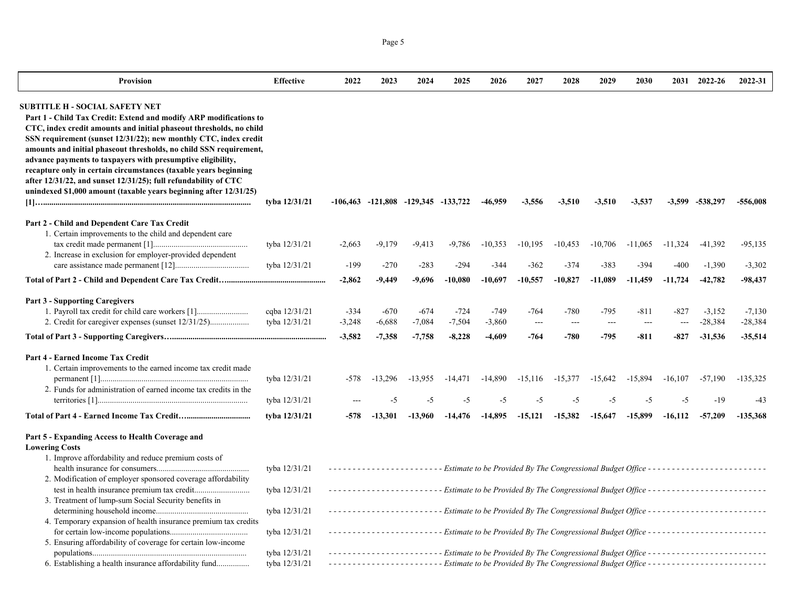| <b>Provision</b>                                                                                                                                                                                                                                                                                                                                                                                                                                                                                                                                                                                | <b>Effective</b>               | 2022                           | 2023                           | 2024                                        | 2025                           | 2026                           | 2027                           | 2028                     | 2029                       | 2030                                         |                  | 2031 2022-26                                                                                                                                                                                                             | 2022-31                            |
|-------------------------------------------------------------------------------------------------------------------------------------------------------------------------------------------------------------------------------------------------------------------------------------------------------------------------------------------------------------------------------------------------------------------------------------------------------------------------------------------------------------------------------------------------------------------------------------------------|--------------------------------|--------------------------------|--------------------------------|---------------------------------------------|--------------------------------|--------------------------------|--------------------------------|--------------------------|----------------------------|----------------------------------------------|------------------|--------------------------------------------------------------------------------------------------------------------------------------------------------------------------------------------------------------------------|------------------------------------|
| SUBTITLE H - SOCIAL SAFETY NET<br>Part 1 - Child Tax Credit: Extend and modify ARP modifications to<br>CTC, index credit amounts and initial phaseout thresholds, no child<br>SSN requirement (sunset 12/31/22); new monthly CTC, index credit<br>amounts and initial phaseout thresholds, no child SSN requirement,<br>advance payments to taxpayers with presumptive eligibility,<br>recapture only in certain circumstances (taxable years beginning<br>after 12/31/22, and sunset 12/31/25); full refundability of CTC<br>unindexed \$1,000 amount (taxable years beginning after 12/31/25) | tyba 12/31/21                  |                                |                                | $-106,463$ $-121,808$ $-129,345$ $-133,722$ |                                | -46,959                        | $-3,556$                       | $-3,510$                 | $-3,510$                   | $-3,537$                                     |                  | $-3,599$ $-538,297$                                                                                                                                                                                                      | -556,008                           |
| Part 2 - Child and Dependent Care Tax Credit                                                                                                                                                                                                                                                                                                                                                                                                                                                                                                                                                    |                                |                                |                                |                                             |                                |                                |                                |                          |                            |                                              |                  |                                                                                                                                                                                                                          |                                    |
| 1. Certain improvements to the child and dependent care<br>2. Increase in exclusion for employer-provided dependent                                                                                                                                                                                                                                                                                                                                                                                                                                                                             | tyba 12/31/21                  | $-2,663$                       | $-9,179$                       | $-9,413$                                    | $-9,786$                       | $-10,353$                      | $-10,195$                      | $-10,453$                | $-10,706$                  | $-11,065$                                    | $-11.324$        | $-41,392$                                                                                                                                                                                                                | $-95,135$                          |
|                                                                                                                                                                                                                                                                                                                                                                                                                                                                                                                                                                                                 | tyba 12/31/21                  | -199                           | $-270$                         | $-283$                                      | $-294$                         | -344                           | $-362$                         | $-374$                   | $-383$                     | -394                                         | -400             | $-1,390$                                                                                                                                                                                                                 | $-3,302$                           |
|                                                                                                                                                                                                                                                                                                                                                                                                                                                                                                                                                                                                 |                                | $-2,862$                       | -9,449                         | $-9,696$                                    | $-10,080$                      | $-10,697$                      | $-10,557$                      | $-10,827$                | $-11,089$                  | $-11,459$                                    | $-11,724$        | $-42,782$                                                                                                                                                                                                                | $-98,437$                          |
| <b>Part 3 - Supporting Caregivers</b><br>1. Payroll tax credit for child care workers [1]                                                                                                                                                                                                                                                                                                                                                                                                                                                                                                       | cqba 12/31/21<br>tyba 12/31/21 | $-334$<br>$-3,248$<br>$-3,582$ | $-670$<br>$-6,688$<br>$-7,358$ | $-674$<br>$-7,084$<br>$-7,758$              | $-724$<br>$-7,504$<br>$-8,228$ | $-749$<br>$-3,860$<br>$-4,609$ | -764<br>$\overline{a}$<br>-764 | -780<br>$\sim$<br>$-780$ | $-795$<br>$\sim$<br>$-795$ | $-811$<br>$\overline{\phantom{a}}$<br>$-811$ | $-827$<br>$-827$ | $-3,152$<br>$-28,384$<br>$-31,536$                                                                                                                                                                                       | $-7,130$<br>$-28,384$<br>$-35,514$ |
| <b>Part 4 - Earned Income Tax Credit</b><br>1. Certain improvements to the earned income tax credit made                                                                                                                                                                                                                                                                                                                                                                                                                                                                                        | tyba 12/31/21                  | -578                           | $-13,296$                      | $-13,955$                                   | $-14,471$                      | $-14,890$                      | $-15,116$                      | $-15,377$                | $-15,642$                  | $-15,894$                                    | $-16,107$        | $-57,190$                                                                                                                                                                                                                | $-135,325$                         |
| 2. Funds for administration of earned income tax credits in the                                                                                                                                                                                                                                                                                                                                                                                                                                                                                                                                 | tyba 12/31/21                  |                                | $-5$                           | $-5$                                        | $-5$                           | $-5$                           | $-5$                           | $-5$                     | $-5$                       | $-5$                                         | $-5$             | $-19$                                                                                                                                                                                                                    | $-43$                              |
|                                                                                                                                                                                                                                                                                                                                                                                                                                                                                                                                                                                                 | tyba 12/31/21                  | -578                           | $-13.301$                      | $-13,960$                                   | $-14,476$                      | $-14,895$                      | $-15,121$                      | $-15,382$                | $-15,647$                  | $-15.899$                                    | $-16,112$        | $-57,209$                                                                                                                                                                                                                | $-135.368$                         |
| Part 5 - Expanding Access to Health Coverage and<br><b>Lowering Costs</b><br>1. Improve affordability and reduce premium costs of                                                                                                                                                                                                                                                                                                                                                                                                                                                               |                                |                                |                                |                                             |                                |                                |                                |                          |                            |                                              |                  |                                                                                                                                                                                                                          |                                    |
| 2. Modification of employer sponsored coverage affordability<br>test in health insurance premium tax credit                                                                                                                                                                                                                                                                                                                                                                                                                                                                                     | tyba 12/31/21<br>tyba 12/31/21 |                                |                                |                                             |                                |                                |                                |                          |                            |                                              |                  | -----------------------Estimate to be Provided By The Congressional Budget Office ------------------------<br>-----------------------Estimate to be Provided By The Congressional Budget Office ------------------------ |                                    |
| 3. Treatment of lump-sum Social Security benefits in                                                                                                                                                                                                                                                                                                                                                                                                                                                                                                                                            | tyba 12/31/21                  |                                |                                |                                             |                                |                                |                                |                          |                            |                                              |                  | ---------------------- Estimate to be Provided By The Congressional Budget Office ------------------------                                                                                                               |                                    |
| 4. Temporary expansion of health insurance premium tax credits<br>5. Ensuring affordability of coverage for certain low-income                                                                                                                                                                                                                                                                                                                                                                                                                                                                  | tyba 12/31/21                  |                                |                                |                                             |                                |                                |                                |                          |                            |                                              |                  | ---------------------- Estimate to be Provided By The Congressional Budget Office ------------------------                                                                                                               |                                    |
|                                                                                                                                                                                                                                                                                                                                                                                                                                                                                                                                                                                                 | tyba 12/31/21                  |                                |                                |                                             |                                |                                |                                |                          |                            |                                              |                  | -----------------------Estimate to be Provided By The Congressional Budget Office ------------------------                                                                                                               |                                    |

6. Establishing a health insurance affordability fund................ tyba 12/31/21  *- - - - - - - - - - - - - - - - - - - - - - - - Estimate to be Provided By The Congressional Budget Office - - - - - - - - - - - - - - - - - - - - - - - - -*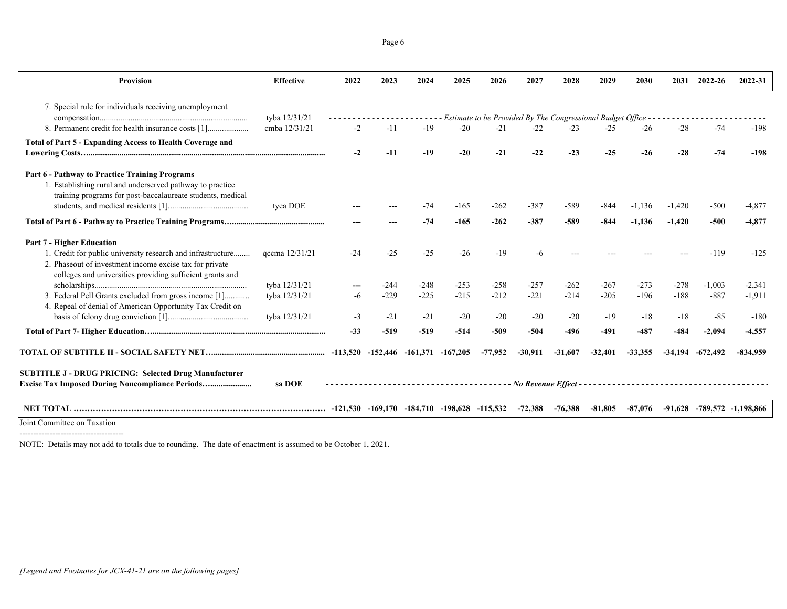Page 6

| <b>Provision</b>                                                                                                        | <b>Effective</b> | 2022  | 2023                                        | 2024   | 2025                                                                                   | 2026      | 2027                                                         | 2028      | 2029      | 2030      | 2031      | 2022-26    | 2022-31                           |
|-------------------------------------------------------------------------------------------------------------------------|------------------|-------|---------------------------------------------|--------|----------------------------------------------------------------------------------------|-----------|--------------------------------------------------------------|-----------|-----------|-----------|-----------|------------|-----------------------------------|
| 7. Special rule for individuals receiving unemployment                                                                  |                  |       |                                             |        |                                                                                        |           |                                                              |           |           |           |           |            |                                   |
|                                                                                                                         | tyba 12/31/21    |       |                                             |        |                                                                                        |           | Estimate to be Provided By The Congressional Budget Office - |           |           |           |           |            |                                   |
| 8. Permanent credit for health insurance costs [1]                                                                      | cmba 12/31/21    | $-2$  | $-11$                                       | $-19$  | $-20$                                                                                  | $-21$     | $-22$                                                        | $-23$     | $-25$     | $-26$     | $-28$     | $-74$      | $-198$                            |
| Total of Part 5 - Expanding Access to Health Coverage and                                                               |                  |       |                                             |        |                                                                                        |           |                                                              |           |           |           |           |            |                                   |
|                                                                                                                         |                  | -2    | $-11$                                       | $-19$  | $-20$                                                                                  | $-21$     | $-22$                                                        | $-23$     | $-25$     | $-26$     | $-28$     | $-74$      | $-198$                            |
| Part 6 - Pathway to Practice Training Programs                                                                          |                  |       |                                             |        |                                                                                        |           |                                                              |           |           |           |           |            |                                   |
| 1. Establishing rural and underserved pathway to practice<br>training programs for post-baccalaureate students, medical |                  |       |                                             |        |                                                                                        |           |                                                              |           |           |           |           |            |                                   |
|                                                                                                                         | tyea DOE         |       |                                             | $-74$  | $-165$                                                                                 | $-262$    | $-387$                                                       | $-589$    | $-844$    | $-1,136$  | $-1,420$  | $-500$     | -4,877                            |
|                                                                                                                         |                  |       |                                             | $-74$  | $-165$                                                                                 | $-262$    | $-387$                                                       | $-589$    | $-844$    | $-1,136$  | $-1.420$  | $-500$     | $-4.877$                          |
| <b>Part 7 - Higher Education</b>                                                                                        |                  |       |                                             |        |                                                                                        |           |                                                              |           |           |           |           |            |                                   |
| 1. Credit for public university research and infrastructure                                                             | qccma 12/31/21   | $-24$ | $-25$                                       | $-25$  | $-26$                                                                                  | $-19$     |                                                              |           |           |           |           | $-119$     | $-125$                            |
| 2. Phaseout of investment income excise tax for private                                                                 |                  |       |                                             |        |                                                                                        |           |                                                              |           |           |           |           |            |                                   |
| colleges and universities providing sufficient grants and                                                               | tyba 12/31/21    |       | $-244$                                      | $-248$ | $-253$                                                                                 | $-258$    | $-257$                                                       | $-262$    | $-267$    | $-273$    | $-278$    | $-1.003$   | $-2.341$                          |
| 3. Federal Pell Grants excluded from gross income [1]                                                                   | tyba 12/31/21    | -6    | $-229$                                      | $-225$ | $-215$                                                                                 | $-212$    | $-221$                                                       | $-214$    | $-205$    | $-196$    | $-188$    | $-887$     | $-1,911$                          |
| 4. Repeal of denial of American Opportunity Tax Credit on                                                               |                  |       |                                             |        |                                                                                        |           |                                                              |           |           |           |           |            |                                   |
|                                                                                                                         | tyba 12/31/21    | $-3$  | $-21$                                       | $-21$  | $-20$                                                                                  | $-20$     | $-20$                                                        | $-20$     | $-19$     | $-18$     | $-18$     | $-85$      | $-180$                            |
|                                                                                                                         |                  | $-33$ | $-519$                                      | $-519$ | $-514$                                                                                 | $-509$    | $-504$                                                       | $-496$    | $-491$    | $-487$    | $-484$    | $-2.094$   | $-4.557$                          |
|                                                                                                                         |                  |       | $-113,520$ $-152,446$ $-161,371$ $-167,205$ |        |                                                                                        | $-77,952$ | $-30.911$                                                    | $-31,607$ | $-32,401$ | $-33,355$ | $-34.194$ | $-672.492$ | $-834.959$                        |
| <b>SUBTITLE J - DRUG PRICING: Selected Drug Manufacturer</b>                                                            |                  |       |                                             |        |                                                                                        |           |                                                              |           |           |           |           |            |                                   |
| <b>Excise Tax Imposed During Noncompliance Periods</b>                                                                  | sa DOE           |       |                                             |        | ------------------------------    No Revenue Effect ---------------------------------- |           |                                                              |           |           |           |           |            |                                   |
|                                                                                                                         |                  |       |                                             |        |                                                                                        |           | $-72,388$                                                    | $-76.388$ | $-81.805$ | $-87,076$ |           |            | $-91.628$ $-789.572$ $-1.198.866$ |
| Joint Committee on Taxation                                                                                             |                  |       |                                             |        |                                                                                        |           |                                                              |           |           |           |           |            |                                   |

 $\overline{\phantom{a}}$ -------------------------

NOTE: Details may not add to totals due to rounding. The date of enactment is assumed to be October 1, 2021.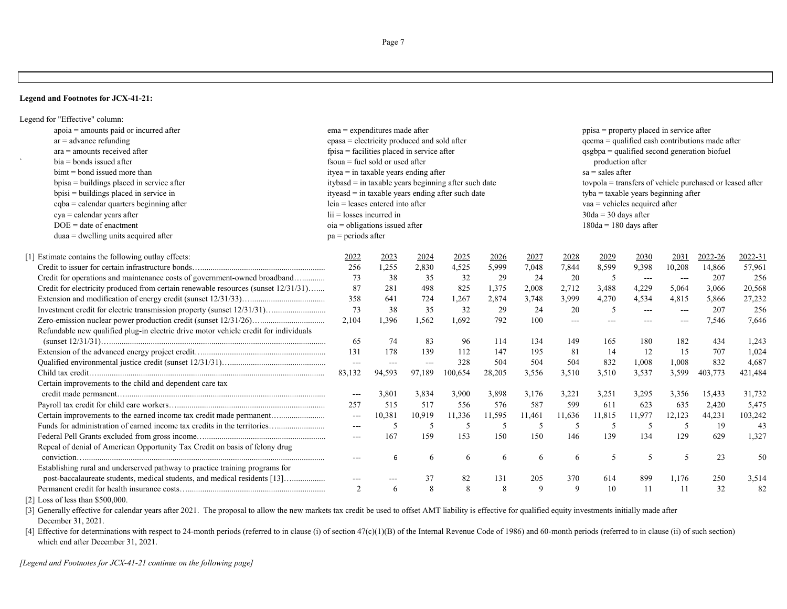Page 7

#### **Legend and Footnotes for JCX-41-21:**

| apoia = amounts paid or incurred after<br>$ema =$ expenditures made after<br>$ppisa = property placed in service after$<br>epasa = electricity produced and sold after<br>qccma = qualified cash contributions made after<br>$ar =$ advance refunding<br>$ara =$ amounts received after<br>fpisa = facilities placed in service after<br>qsgbpa = qualified second generation biofuel<br>$\mathbf{v}$<br>$fsoua = fuel sold or used after$<br>$bia = bonds$ issued after<br>production after<br>$bimt = bond$ issued more than<br>ityea $=$ in taxable years ending after<br>$sa = sales after$<br>itybasd = in taxable years beginning after such date<br>tovpola = transfers of vehicle purchased or leased after<br>bpisa = buildings placed in service after<br>$bpisi = buildings placed in service in$<br>$ityeasd = in taxable years ending after such date$<br>$t$ <sub>y</sub> ba = taxable years beginning after<br>cqba = calendar quarters beginning after<br>leia = leases entered into after<br>vaa = vehicles acquired after<br>$\overline{\text{li}}$ = losses incurred in<br>$cya = calendar years after$<br>$30da = 30 days$ after<br>$DOE = date of enactment$<br>oia = obligations issued after<br>$180da = 180$ days after<br>$duaa = dwelling$ units acquired after<br>$pa = periods after$<br>[1] Estimate contains the following outlay effects:<br>2023<br>2024<br>2027<br>2029<br>2030<br>2022-26<br>2022-31<br>2022<br>2025<br>2026<br>2028<br>2031<br>8,599<br>256<br>1,255<br>2,830<br>4,525<br>5,999<br>7,048<br>7,844<br>9,398<br>10,208<br>14,866<br>57,961<br>Credit for operations and maintenance costs of government-owned broadband<br>73<br>32<br>29<br>24<br>20<br>256<br>38<br>35<br>5<br>207<br>$  -$<br>$---$<br>Credit for electricity produced from certain renewable resources (sunset 12/31/31)<br>87<br>498<br>825<br>1,375<br>2,712<br>3,488<br>4,229<br>20,568<br>281<br>2,008<br>5,064<br>3,066<br>358<br>3,999<br>27,232<br>641<br>724<br>1,267<br>2,874<br>3,748<br>4,270<br>4,534<br>4,815<br>5,866<br>Investment credit for electric transmission property (sunset 12/31/31)<br>73<br>32<br>29<br>24<br>5<br>256<br>38<br>35<br>20<br>207<br>$---$<br>$---$<br>2,104<br>792<br>1,396<br>1,562<br>1,692<br>100<br>7,646<br>7,546<br>$---$<br>$---$<br>---<br>Refundable new qualified plug-in electric drive motor vehicle credit for individuals<br>65<br>83<br>96<br>114<br>134<br>149<br>182<br>434<br>1,243<br>74<br>165<br>180<br>131<br>178<br>139<br>112<br>147<br>195<br>81<br>14<br>15<br>707<br>1,024<br>12<br>328<br>504<br>504<br>1,008<br>832<br>4,687<br>504<br>832<br>1,008<br>$\overline{a}$<br>---<br>$---$<br>83,132<br>94,593<br>97,189<br>100,654<br>28,205<br>3,556<br>3,510<br>3,510<br>3,537<br>3,599<br>403,773<br>421,484<br>Certain improvements to the child and dependent care tax<br>31,732<br>3,801<br>3,834<br>3,900<br>3,898<br>3,176<br>3,221<br>3,251<br>3,295<br>3,356<br>15,433<br>$\overline{\phantom{a}}$<br>576<br>599<br>5,475<br>257<br>517<br>556<br>587<br>611<br>623<br>635<br>2,420<br>515<br>Certain improvements to the earned income tax credit made permanent<br>103,242<br>10,381<br>10,919<br>11,336<br>11,595<br>11,461<br>11,636<br>11,977<br>12,123<br>44,231<br>11,815<br>$\overline{\phantom{a}}$<br>Funds for administration of earned income tax credits in the territories<br>5<br>19<br>43<br>-5<br>5<br>5<br>5<br>5<br>5<br>-5<br>-5<br>$---$<br>167<br>150<br>150<br>134<br>129<br>1,327<br>159<br>153<br>146<br>139<br>629<br>$---$<br>Repeal of denial of American Opportunity Tax Credit on basis of felony drug<br>23<br>50<br>5<br>5<br>5<br>6<br>6<br>6<br>6<br>6<br>6<br>$\cdots$<br>Establishing rural and underserved pathway to practice training programs for<br>post-baccalaureate students, medical students, and medical residents [13]<br>82<br>37<br>131<br>205<br>370<br>614<br>899<br>1,176<br>250<br>3,514<br>$---$<br>---<br>8<br>82<br>2<br>8<br>8<br>9<br>9<br>11<br>32<br>10<br>11<br>6 | Legend for "Effective" column: |  |  |  |  |  |  |  |  |  |  |  |  |  |  |
|-----------------------------------------------------------------------------------------------------------------------------------------------------------------------------------------------------------------------------------------------------------------------------------------------------------------------------------------------------------------------------------------------------------------------------------------------------------------------------------------------------------------------------------------------------------------------------------------------------------------------------------------------------------------------------------------------------------------------------------------------------------------------------------------------------------------------------------------------------------------------------------------------------------------------------------------------------------------------------------------------------------------------------------------------------------------------------------------------------------------------------------------------------------------------------------------------------------------------------------------------------------------------------------------------------------------------------------------------------------------------------------------------------------------------------------------------------------------------------------------------------------------------------------------------------------------------------------------------------------------------------------------------------------------------------------------------------------------------------------------------------------------------------------------------------------------------------------------------------------------------------------------------------------------------------------------------------------------------------------------------------------------------------------------------------------------------------------------------------------------------------------------------------------------------------------------------------------------------------------------------------------------------------------------------------------------------------------------------------------------------------------------------------------------------------------------------------------------------------------------------------------------------------------------------------------------------------------------------------------------------------------------------------------------------------------------------------------------------------------------------------------------------------------------------------------------------------------------------------------------------------------------------------------------------------------------------------------------------------------------------------------------------------------------------------------------------------------------------------------------------------------------------------------------------------------------------------------------------------------------------------------------------------------------------------------------------------------------------------------------------------------------------------------------------------------------------------------------------------------------------------------------------------------------------------------------------------------------------------------------------------------------------------------------------------------------------------------------------------------------------------------------------------------------------------------------------------------------------------------------------------------------------------------------------------------------------------------------------------------------------------------------------------------|--------------------------------|--|--|--|--|--|--|--|--|--|--|--|--|--|--|
|                                                                                                                                                                                                                                                                                                                                                                                                                                                                                                                                                                                                                                                                                                                                                                                                                                                                                                                                                                                                                                                                                                                                                                                                                                                                                                                                                                                                                                                                                                                                                                                                                                                                                                                                                                                                                                                                                                                                                                                                                                                                                                                                                                                                                                                                                                                                                                                                                                                                                                                                                                                                                                                                                                                                                                                                                                                                                                                                                                                                                                                                                                                                                                                                                                                                                                                                                                                                                                                                                                                                                                                                                                                                                                                                                                                                                                                                                                                                                                                                                                   |                                |  |  |  |  |  |  |  |  |  |  |  |  |  |  |
|                                                                                                                                                                                                                                                                                                                                                                                                                                                                                                                                                                                                                                                                                                                                                                                                                                                                                                                                                                                                                                                                                                                                                                                                                                                                                                                                                                                                                                                                                                                                                                                                                                                                                                                                                                                                                                                                                                                                                                                                                                                                                                                                                                                                                                                                                                                                                                                                                                                                                                                                                                                                                                                                                                                                                                                                                                                                                                                                                                                                                                                                                                                                                                                                                                                                                                                                                                                                                                                                                                                                                                                                                                                                                                                                                                                                                                                                                                                                                                                                                                   |                                |  |  |  |  |  |  |  |  |  |  |  |  |  |  |
|                                                                                                                                                                                                                                                                                                                                                                                                                                                                                                                                                                                                                                                                                                                                                                                                                                                                                                                                                                                                                                                                                                                                                                                                                                                                                                                                                                                                                                                                                                                                                                                                                                                                                                                                                                                                                                                                                                                                                                                                                                                                                                                                                                                                                                                                                                                                                                                                                                                                                                                                                                                                                                                                                                                                                                                                                                                                                                                                                                                                                                                                                                                                                                                                                                                                                                                                                                                                                                                                                                                                                                                                                                                                                                                                                                                                                                                                                                                                                                                                                                   |                                |  |  |  |  |  |  |  |  |  |  |  |  |  |  |
|                                                                                                                                                                                                                                                                                                                                                                                                                                                                                                                                                                                                                                                                                                                                                                                                                                                                                                                                                                                                                                                                                                                                                                                                                                                                                                                                                                                                                                                                                                                                                                                                                                                                                                                                                                                                                                                                                                                                                                                                                                                                                                                                                                                                                                                                                                                                                                                                                                                                                                                                                                                                                                                                                                                                                                                                                                                                                                                                                                                                                                                                                                                                                                                                                                                                                                                                                                                                                                                                                                                                                                                                                                                                                                                                                                                                                                                                                                                                                                                                                                   |                                |  |  |  |  |  |  |  |  |  |  |  |  |  |  |
|                                                                                                                                                                                                                                                                                                                                                                                                                                                                                                                                                                                                                                                                                                                                                                                                                                                                                                                                                                                                                                                                                                                                                                                                                                                                                                                                                                                                                                                                                                                                                                                                                                                                                                                                                                                                                                                                                                                                                                                                                                                                                                                                                                                                                                                                                                                                                                                                                                                                                                                                                                                                                                                                                                                                                                                                                                                                                                                                                                                                                                                                                                                                                                                                                                                                                                                                                                                                                                                                                                                                                                                                                                                                                                                                                                                                                                                                                                                                                                                                                                   |                                |  |  |  |  |  |  |  |  |  |  |  |  |  |  |
|                                                                                                                                                                                                                                                                                                                                                                                                                                                                                                                                                                                                                                                                                                                                                                                                                                                                                                                                                                                                                                                                                                                                                                                                                                                                                                                                                                                                                                                                                                                                                                                                                                                                                                                                                                                                                                                                                                                                                                                                                                                                                                                                                                                                                                                                                                                                                                                                                                                                                                                                                                                                                                                                                                                                                                                                                                                                                                                                                                                                                                                                                                                                                                                                                                                                                                                                                                                                                                                                                                                                                                                                                                                                                                                                                                                                                                                                                                                                                                                                                                   |                                |  |  |  |  |  |  |  |  |  |  |  |  |  |  |
|                                                                                                                                                                                                                                                                                                                                                                                                                                                                                                                                                                                                                                                                                                                                                                                                                                                                                                                                                                                                                                                                                                                                                                                                                                                                                                                                                                                                                                                                                                                                                                                                                                                                                                                                                                                                                                                                                                                                                                                                                                                                                                                                                                                                                                                                                                                                                                                                                                                                                                                                                                                                                                                                                                                                                                                                                                                                                                                                                                                                                                                                                                                                                                                                                                                                                                                                                                                                                                                                                                                                                                                                                                                                                                                                                                                                                                                                                                                                                                                                                                   |                                |  |  |  |  |  |  |  |  |  |  |  |  |  |  |
|                                                                                                                                                                                                                                                                                                                                                                                                                                                                                                                                                                                                                                                                                                                                                                                                                                                                                                                                                                                                                                                                                                                                                                                                                                                                                                                                                                                                                                                                                                                                                                                                                                                                                                                                                                                                                                                                                                                                                                                                                                                                                                                                                                                                                                                                                                                                                                                                                                                                                                                                                                                                                                                                                                                                                                                                                                                                                                                                                                                                                                                                                                                                                                                                                                                                                                                                                                                                                                                                                                                                                                                                                                                                                                                                                                                                                                                                                                                                                                                                                                   |                                |  |  |  |  |  |  |  |  |  |  |  |  |  |  |
|                                                                                                                                                                                                                                                                                                                                                                                                                                                                                                                                                                                                                                                                                                                                                                                                                                                                                                                                                                                                                                                                                                                                                                                                                                                                                                                                                                                                                                                                                                                                                                                                                                                                                                                                                                                                                                                                                                                                                                                                                                                                                                                                                                                                                                                                                                                                                                                                                                                                                                                                                                                                                                                                                                                                                                                                                                                                                                                                                                                                                                                                                                                                                                                                                                                                                                                                                                                                                                                                                                                                                                                                                                                                                                                                                                                                                                                                                                                                                                                                                                   |                                |  |  |  |  |  |  |  |  |  |  |  |  |  |  |
|                                                                                                                                                                                                                                                                                                                                                                                                                                                                                                                                                                                                                                                                                                                                                                                                                                                                                                                                                                                                                                                                                                                                                                                                                                                                                                                                                                                                                                                                                                                                                                                                                                                                                                                                                                                                                                                                                                                                                                                                                                                                                                                                                                                                                                                                                                                                                                                                                                                                                                                                                                                                                                                                                                                                                                                                                                                                                                                                                                                                                                                                                                                                                                                                                                                                                                                                                                                                                                                                                                                                                                                                                                                                                                                                                                                                                                                                                                                                                                                                                                   |                                |  |  |  |  |  |  |  |  |  |  |  |  |  |  |
|                                                                                                                                                                                                                                                                                                                                                                                                                                                                                                                                                                                                                                                                                                                                                                                                                                                                                                                                                                                                                                                                                                                                                                                                                                                                                                                                                                                                                                                                                                                                                                                                                                                                                                                                                                                                                                                                                                                                                                                                                                                                                                                                                                                                                                                                                                                                                                                                                                                                                                                                                                                                                                                                                                                                                                                                                                                                                                                                                                                                                                                                                                                                                                                                                                                                                                                                                                                                                                                                                                                                                                                                                                                                                                                                                                                                                                                                                                                                                                                                                                   |                                |  |  |  |  |  |  |  |  |  |  |  |  |  |  |
|                                                                                                                                                                                                                                                                                                                                                                                                                                                                                                                                                                                                                                                                                                                                                                                                                                                                                                                                                                                                                                                                                                                                                                                                                                                                                                                                                                                                                                                                                                                                                                                                                                                                                                                                                                                                                                                                                                                                                                                                                                                                                                                                                                                                                                                                                                                                                                                                                                                                                                                                                                                                                                                                                                                                                                                                                                                                                                                                                                                                                                                                                                                                                                                                                                                                                                                                                                                                                                                                                                                                                                                                                                                                                                                                                                                                                                                                                                                                                                                                                                   |                                |  |  |  |  |  |  |  |  |  |  |  |  |  |  |
|                                                                                                                                                                                                                                                                                                                                                                                                                                                                                                                                                                                                                                                                                                                                                                                                                                                                                                                                                                                                                                                                                                                                                                                                                                                                                                                                                                                                                                                                                                                                                                                                                                                                                                                                                                                                                                                                                                                                                                                                                                                                                                                                                                                                                                                                                                                                                                                                                                                                                                                                                                                                                                                                                                                                                                                                                                                                                                                                                                                                                                                                                                                                                                                                                                                                                                                                                                                                                                                                                                                                                                                                                                                                                                                                                                                                                                                                                                                                                                                                                                   |                                |  |  |  |  |  |  |  |  |  |  |  |  |  |  |
|                                                                                                                                                                                                                                                                                                                                                                                                                                                                                                                                                                                                                                                                                                                                                                                                                                                                                                                                                                                                                                                                                                                                                                                                                                                                                                                                                                                                                                                                                                                                                                                                                                                                                                                                                                                                                                                                                                                                                                                                                                                                                                                                                                                                                                                                                                                                                                                                                                                                                                                                                                                                                                                                                                                                                                                                                                                                                                                                                                                                                                                                                                                                                                                                                                                                                                                                                                                                                                                                                                                                                                                                                                                                                                                                                                                                                                                                                                                                                                                                                                   |                                |  |  |  |  |  |  |  |  |  |  |  |  |  |  |
|                                                                                                                                                                                                                                                                                                                                                                                                                                                                                                                                                                                                                                                                                                                                                                                                                                                                                                                                                                                                                                                                                                                                                                                                                                                                                                                                                                                                                                                                                                                                                                                                                                                                                                                                                                                                                                                                                                                                                                                                                                                                                                                                                                                                                                                                                                                                                                                                                                                                                                                                                                                                                                                                                                                                                                                                                                                                                                                                                                                                                                                                                                                                                                                                                                                                                                                                                                                                                                                                                                                                                                                                                                                                                                                                                                                                                                                                                                                                                                                                                                   |                                |  |  |  |  |  |  |  |  |  |  |  |  |  |  |
|                                                                                                                                                                                                                                                                                                                                                                                                                                                                                                                                                                                                                                                                                                                                                                                                                                                                                                                                                                                                                                                                                                                                                                                                                                                                                                                                                                                                                                                                                                                                                                                                                                                                                                                                                                                                                                                                                                                                                                                                                                                                                                                                                                                                                                                                                                                                                                                                                                                                                                                                                                                                                                                                                                                                                                                                                                                                                                                                                                                                                                                                                                                                                                                                                                                                                                                                                                                                                                                                                                                                                                                                                                                                                                                                                                                                                                                                                                                                                                                                                                   |                                |  |  |  |  |  |  |  |  |  |  |  |  |  |  |
|                                                                                                                                                                                                                                                                                                                                                                                                                                                                                                                                                                                                                                                                                                                                                                                                                                                                                                                                                                                                                                                                                                                                                                                                                                                                                                                                                                                                                                                                                                                                                                                                                                                                                                                                                                                                                                                                                                                                                                                                                                                                                                                                                                                                                                                                                                                                                                                                                                                                                                                                                                                                                                                                                                                                                                                                                                                                                                                                                                                                                                                                                                                                                                                                                                                                                                                                                                                                                                                                                                                                                                                                                                                                                                                                                                                                                                                                                                                                                                                                                                   |                                |  |  |  |  |  |  |  |  |  |  |  |  |  |  |
|                                                                                                                                                                                                                                                                                                                                                                                                                                                                                                                                                                                                                                                                                                                                                                                                                                                                                                                                                                                                                                                                                                                                                                                                                                                                                                                                                                                                                                                                                                                                                                                                                                                                                                                                                                                                                                                                                                                                                                                                                                                                                                                                                                                                                                                                                                                                                                                                                                                                                                                                                                                                                                                                                                                                                                                                                                                                                                                                                                                                                                                                                                                                                                                                                                                                                                                                                                                                                                                                                                                                                                                                                                                                                                                                                                                                                                                                                                                                                                                                                                   |                                |  |  |  |  |  |  |  |  |  |  |  |  |  |  |
|                                                                                                                                                                                                                                                                                                                                                                                                                                                                                                                                                                                                                                                                                                                                                                                                                                                                                                                                                                                                                                                                                                                                                                                                                                                                                                                                                                                                                                                                                                                                                                                                                                                                                                                                                                                                                                                                                                                                                                                                                                                                                                                                                                                                                                                                                                                                                                                                                                                                                                                                                                                                                                                                                                                                                                                                                                                                                                                                                                                                                                                                                                                                                                                                                                                                                                                                                                                                                                                                                                                                                                                                                                                                                                                                                                                                                                                                                                                                                                                                                                   |                                |  |  |  |  |  |  |  |  |  |  |  |  |  |  |
|                                                                                                                                                                                                                                                                                                                                                                                                                                                                                                                                                                                                                                                                                                                                                                                                                                                                                                                                                                                                                                                                                                                                                                                                                                                                                                                                                                                                                                                                                                                                                                                                                                                                                                                                                                                                                                                                                                                                                                                                                                                                                                                                                                                                                                                                                                                                                                                                                                                                                                                                                                                                                                                                                                                                                                                                                                                                                                                                                                                                                                                                                                                                                                                                                                                                                                                                                                                                                                                                                                                                                                                                                                                                                                                                                                                                                                                                                                                                                                                                                                   |                                |  |  |  |  |  |  |  |  |  |  |  |  |  |  |
|                                                                                                                                                                                                                                                                                                                                                                                                                                                                                                                                                                                                                                                                                                                                                                                                                                                                                                                                                                                                                                                                                                                                                                                                                                                                                                                                                                                                                                                                                                                                                                                                                                                                                                                                                                                                                                                                                                                                                                                                                                                                                                                                                                                                                                                                                                                                                                                                                                                                                                                                                                                                                                                                                                                                                                                                                                                                                                                                                                                                                                                                                                                                                                                                                                                                                                                                                                                                                                                                                                                                                                                                                                                                                                                                                                                                                                                                                                                                                                                                                                   |                                |  |  |  |  |  |  |  |  |  |  |  |  |  |  |
|                                                                                                                                                                                                                                                                                                                                                                                                                                                                                                                                                                                                                                                                                                                                                                                                                                                                                                                                                                                                                                                                                                                                                                                                                                                                                                                                                                                                                                                                                                                                                                                                                                                                                                                                                                                                                                                                                                                                                                                                                                                                                                                                                                                                                                                                                                                                                                                                                                                                                                                                                                                                                                                                                                                                                                                                                                                                                                                                                                                                                                                                                                                                                                                                                                                                                                                                                                                                                                                                                                                                                                                                                                                                                                                                                                                                                                                                                                                                                                                                                                   |                                |  |  |  |  |  |  |  |  |  |  |  |  |  |  |
|                                                                                                                                                                                                                                                                                                                                                                                                                                                                                                                                                                                                                                                                                                                                                                                                                                                                                                                                                                                                                                                                                                                                                                                                                                                                                                                                                                                                                                                                                                                                                                                                                                                                                                                                                                                                                                                                                                                                                                                                                                                                                                                                                                                                                                                                                                                                                                                                                                                                                                                                                                                                                                                                                                                                                                                                                                                                                                                                                                                                                                                                                                                                                                                                                                                                                                                                                                                                                                                                                                                                                                                                                                                                                                                                                                                                                                                                                                                                                                                                                                   |                                |  |  |  |  |  |  |  |  |  |  |  |  |  |  |
|                                                                                                                                                                                                                                                                                                                                                                                                                                                                                                                                                                                                                                                                                                                                                                                                                                                                                                                                                                                                                                                                                                                                                                                                                                                                                                                                                                                                                                                                                                                                                                                                                                                                                                                                                                                                                                                                                                                                                                                                                                                                                                                                                                                                                                                                                                                                                                                                                                                                                                                                                                                                                                                                                                                                                                                                                                                                                                                                                                                                                                                                                                                                                                                                                                                                                                                                                                                                                                                                                                                                                                                                                                                                                                                                                                                                                                                                                                                                                                                                                                   |                                |  |  |  |  |  |  |  |  |  |  |  |  |  |  |
|                                                                                                                                                                                                                                                                                                                                                                                                                                                                                                                                                                                                                                                                                                                                                                                                                                                                                                                                                                                                                                                                                                                                                                                                                                                                                                                                                                                                                                                                                                                                                                                                                                                                                                                                                                                                                                                                                                                                                                                                                                                                                                                                                                                                                                                                                                                                                                                                                                                                                                                                                                                                                                                                                                                                                                                                                                                                                                                                                                                                                                                                                                                                                                                                                                                                                                                                                                                                                                                                                                                                                                                                                                                                                                                                                                                                                                                                                                                                                                                                                                   |                                |  |  |  |  |  |  |  |  |  |  |  |  |  |  |
|                                                                                                                                                                                                                                                                                                                                                                                                                                                                                                                                                                                                                                                                                                                                                                                                                                                                                                                                                                                                                                                                                                                                                                                                                                                                                                                                                                                                                                                                                                                                                                                                                                                                                                                                                                                                                                                                                                                                                                                                                                                                                                                                                                                                                                                                                                                                                                                                                                                                                                                                                                                                                                                                                                                                                                                                                                                                                                                                                                                                                                                                                                                                                                                                                                                                                                                                                                                                                                                                                                                                                                                                                                                                                                                                                                                                                                                                                                                                                                                                                                   |                                |  |  |  |  |  |  |  |  |  |  |  |  |  |  |
|                                                                                                                                                                                                                                                                                                                                                                                                                                                                                                                                                                                                                                                                                                                                                                                                                                                                                                                                                                                                                                                                                                                                                                                                                                                                                                                                                                                                                                                                                                                                                                                                                                                                                                                                                                                                                                                                                                                                                                                                                                                                                                                                                                                                                                                                                                                                                                                                                                                                                                                                                                                                                                                                                                                                                                                                                                                                                                                                                                                                                                                                                                                                                                                                                                                                                                                                                                                                                                                                                                                                                                                                                                                                                                                                                                                                                                                                                                                                                                                                                                   |                                |  |  |  |  |  |  |  |  |  |  |  |  |  |  |
|                                                                                                                                                                                                                                                                                                                                                                                                                                                                                                                                                                                                                                                                                                                                                                                                                                                                                                                                                                                                                                                                                                                                                                                                                                                                                                                                                                                                                                                                                                                                                                                                                                                                                                                                                                                                                                                                                                                                                                                                                                                                                                                                                                                                                                                                                                                                                                                                                                                                                                                                                                                                                                                                                                                                                                                                                                                                                                                                                                                                                                                                                                                                                                                                                                                                                                                                                                                                                                                                                                                                                                                                                                                                                                                                                                                                                                                                                                                                                                                                                                   |                                |  |  |  |  |  |  |  |  |  |  |  |  |  |  |
|                                                                                                                                                                                                                                                                                                                                                                                                                                                                                                                                                                                                                                                                                                                                                                                                                                                                                                                                                                                                                                                                                                                                                                                                                                                                                                                                                                                                                                                                                                                                                                                                                                                                                                                                                                                                                                                                                                                                                                                                                                                                                                                                                                                                                                                                                                                                                                                                                                                                                                                                                                                                                                                                                                                                                                                                                                                                                                                                                                                                                                                                                                                                                                                                                                                                                                                                                                                                                                                                                                                                                                                                                                                                                                                                                                                                                                                                                                                                                                                                                                   |                                |  |  |  |  |  |  |  |  |  |  |  |  |  |  |
|                                                                                                                                                                                                                                                                                                                                                                                                                                                                                                                                                                                                                                                                                                                                                                                                                                                                                                                                                                                                                                                                                                                                                                                                                                                                                                                                                                                                                                                                                                                                                                                                                                                                                                                                                                                                                                                                                                                                                                                                                                                                                                                                                                                                                                                                                                                                                                                                                                                                                                                                                                                                                                                                                                                                                                                                                                                                                                                                                                                                                                                                                                                                                                                                                                                                                                                                                                                                                                                                                                                                                                                                                                                                                                                                                                                                                                                                                                                                                                                                                                   |                                |  |  |  |  |  |  |  |  |  |  |  |  |  |  |
|                                                                                                                                                                                                                                                                                                                                                                                                                                                                                                                                                                                                                                                                                                                                                                                                                                                                                                                                                                                                                                                                                                                                                                                                                                                                                                                                                                                                                                                                                                                                                                                                                                                                                                                                                                                                                                                                                                                                                                                                                                                                                                                                                                                                                                                                                                                                                                                                                                                                                                                                                                                                                                                                                                                                                                                                                                                                                                                                                                                                                                                                                                                                                                                                                                                                                                                                                                                                                                                                                                                                                                                                                                                                                                                                                                                                                                                                                                                                                                                                                                   |                                |  |  |  |  |  |  |  |  |  |  |  |  |  |  |
|                                                                                                                                                                                                                                                                                                                                                                                                                                                                                                                                                                                                                                                                                                                                                                                                                                                                                                                                                                                                                                                                                                                                                                                                                                                                                                                                                                                                                                                                                                                                                                                                                                                                                                                                                                                                                                                                                                                                                                                                                                                                                                                                                                                                                                                                                                                                                                                                                                                                                                                                                                                                                                                                                                                                                                                                                                                                                                                                                                                                                                                                                                                                                                                                                                                                                                                                                                                                                                                                                                                                                                                                                                                                                                                                                                                                                                                                                                                                                                                                                                   |                                |  |  |  |  |  |  |  |  |  |  |  |  |  |  |
|                                                                                                                                                                                                                                                                                                                                                                                                                                                                                                                                                                                                                                                                                                                                                                                                                                                                                                                                                                                                                                                                                                                                                                                                                                                                                                                                                                                                                                                                                                                                                                                                                                                                                                                                                                                                                                                                                                                                                                                                                                                                                                                                                                                                                                                                                                                                                                                                                                                                                                                                                                                                                                                                                                                                                                                                                                                                                                                                                                                                                                                                                                                                                                                                                                                                                                                                                                                                                                                                                                                                                                                                                                                                                                                                                                                                                                                                                                                                                                                                                                   |                                |  |  |  |  |  |  |  |  |  |  |  |  |  |  |
|                                                                                                                                                                                                                                                                                                                                                                                                                                                                                                                                                                                                                                                                                                                                                                                                                                                                                                                                                                                                                                                                                                                                                                                                                                                                                                                                                                                                                                                                                                                                                                                                                                                                                                                                                                                                                                                                                                                                                                                                                                                                                                                                                                                                                                                                                                                                                                                                                                                                                                                                                                                                                                                                                                                                                                                                                                                                                                                                                                                                                                                                                                                                                                                                                                                                                                                                                                                                                                                                                                                                                                                                                                                                                                                                                                                                                                                                                                                                                                                                                                   |                                |  |  |  |  |  |  |  |  |  |  |  |  |  |  |
|                                                                                                                                                                                                                                                                                                                                                                                                                                                                                                                                                                                                                                                                                                                                                                                                                                                                                                                                                                                                                                                                                                                                                                                                                                                                                                                                                                                                                                                                                                                                                                                                                                                                                                                                                                                                                                                                                                                                                                                                                                                                                                                                                                                                                                                                                                                                                                                                                                                                                                                                                                                                                                                                                                                                                                                                                                                                                                                                                                                                                                                                                                                                                                                                                                                                                                                                                                                                                                                                                                                                                                                                                                                                                                                                                                                                                                                                                                                                                                                                                                   |                                |  |  |  |  |  |  |  |  |  |  |  |  |  |  |

[2] Loss of less than \$500,000.

[3] Generally effective for calendar years after 2021. The proposal to allow the new markets tax credit be used to offset AMT liability is effective for qualified equity investments initially made after December 31, 2021.

[4] Effective for determinations with respect to 24-month periods (referred to in clause (i) of section 47(c)(1)(B) of the Internal Revenue Code of 1986) and 60-month periods (referred to in clause (ii) of such section) which end after December 31, 2021.